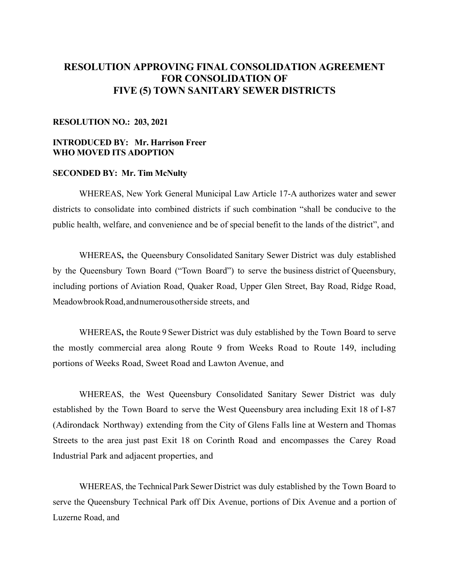# **RESOLUTION APPROVING FINAL CONSOLIDATION AGREEMENT FOR CONSOLIDATION OF FIVE (5) TOWN SANITARY SEWER DISTRICTS**

## **RESOLUTION NO.: 203, 2021**

## **INTRODUCED BY: Mr. Harrison Freer WHO MOVED ITS ADOPTION**

### **SECONDED BY: Mr. Tim McNulty**

WHEREAS, New York General Municipal Law Article 17-A authorizes water and sewer districts to consolidate into combined districts if such combination "shall be conducive to the public health, welfare, and convenience and be of special benefit to the lands of the district", and

 WHEREAS**,** the Queensbury Consolidated Sanitary Sewer District was duly established by the Queensbury Town Board ("Town Board") to serve the business district of Queensbury, including portions of Aviation Road, Quaker Road, Upper Glen Street, Bay Road, Ridge Road, Meadowbrook Road, and numerous other side streets, and

 WHEREAS**,** the Route 9 Sewer District was duly established by the Town Board to serve the mostly commercial area along Route 9 from Weeks Road to Route 149, including portions of Weeks Road, Sweet Road and Lawton Avenue, and

WHEREAS, the West Queensbury Consolidated Sanitary Sewer District was duly established by the Town Board to serve the West Queensbury area including Exit 18 of I-87 (Adirondack Northway) extending from the City of Glens Falls line at Western and Thomas Streets to the area just past Exit 18 on Corinth Road and encompasses the Carey Road Industrial Park and adjacent properties, and

 WHEREAS, the Technical Park Sewer District was duly established by the Town Board to serve the Queensbury Technical Park off Dix Avenue, portions of Dix Avenue and a portion of Luzerne Road, and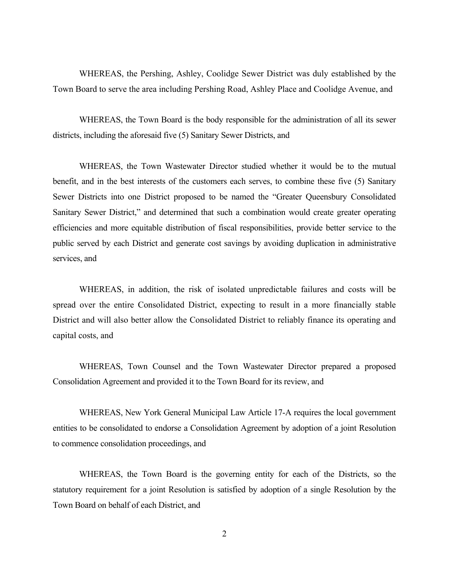WHEREAS, the Pershing, Ashley, Coolidge Sewer District was duly established by the Town Board to serve the area including Pershing Road, Ashley Place and Coolidge Avenue, and

 WHEREAS, the Town Board is the body responsible for the administration of all its sewer districts, including the aforesaid five (5) Sanitary Sewer Districts, and

 WHEREAS, the Town Wastewater Director studied whether it would be to the mutual benefit, and in the best interests of the customers each serves, to combine these five (5) Sanitary Sewer Districts into one District proposed to be named the "Greater Queensbury Consolidated Sanitary Sewer District," and determined that such a combination would create greater operating efficiencies and more equitable distribution of fiscal responsibilities, provide better service to the public served by each District and generate cost savings by avoiding duplication in administrative services, and

WHEREAS, in addition, the risk of isolated unpredictable failures and costs will be spread over the entire Consolidated District, expecting to result in a more financially stable District and will also better allow the Consolidated District to reliably finance its operating and capital costs, and

 WHEREAS, Town Counsel and the Town Wastewater Director prepared a proposed Consolidation Agreement and provided it to the Town Board for its review, and

 WHEREAS, New York General Municipal Law Article 17-A requires the local government entities to be consolidated to endorse a Consolidation Agreement by adoption of a joint Resolution to commence consolidation proceedings, and

 WHEREAS, the Town Board is the governing entity for each of the Districts, so the statutory requirement for a joint Resolution is satisfied by adoption of a single Resolution by the Town Board on behalf of each District, and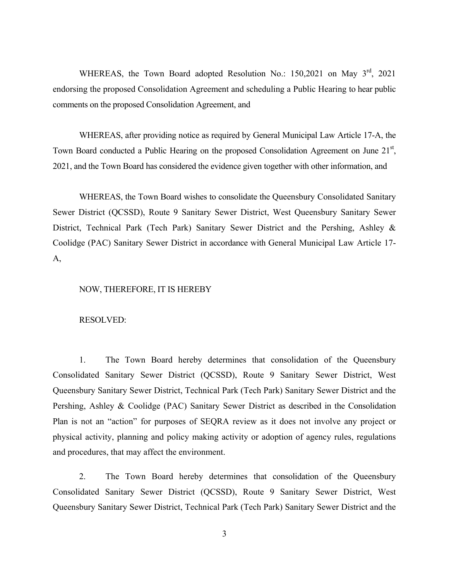WHEREAS, the Town Board adopted Resolution No.: 150,2021 on May 3<sup>rd</sup>, 2021 endorsing the proposed Consolidation Agreement and scheduling a Public Hearing to hear public comments on the proposed Consolidation Agreement, and

 WHEREAS, after providing notice as required by General Municipal Law Article 17-A, the Town Board conducted a Public Hearing on the proposed Consolidation Agreement on June  $21<sup>st</sup>$ , 2021, and the Town Board has considered the evidence given together with other information, and

 WHEREAS, the Town Board wishes to consolidate the Queensbury Consolidated Sanitary Sewer District (QCSSD), Route 9 Sanitary Sewer District, West Queensbury Sanitary Sewer District, Technical Park (Tech Park) Sanitary Sewer District and the Pershing, Ashley & Coolidge (PAC) Sanitary Sewer District in accordance with General Municipal Law Article 17- A,

#### NOW, THEREFORE, IT IS HEREBY

#### RESOLVED:

1. The Town Board hereby determines that consolidation of the Queensbury Consolidated Sanitary Sewer District (QCSSD), Route 9 Sanitary Sewer District, West Queensbury Sanitary Sewer District, Technical Park (Tech Park) Sanitary Sewer District and the Pershing, Ashley & Coolidge (PAC) Sanitary Sewer District as described in the Consolidation Plan is not an "action" for purposes of SEQRA review as it does not involve any project or physical activity, planning and policy making activity or adoption of agency rules, regulations and procedures, that may affect the environment.

2. The Town Board hereby determines that consolidation of the Queensbury Consolidated Sanitary Sewer District (QCSSD), Route 9 Sanitary Sewer District, West Queensbury Sanitary Sewer District, Technical Park (Tech Park) Sanitary Sewer District and the